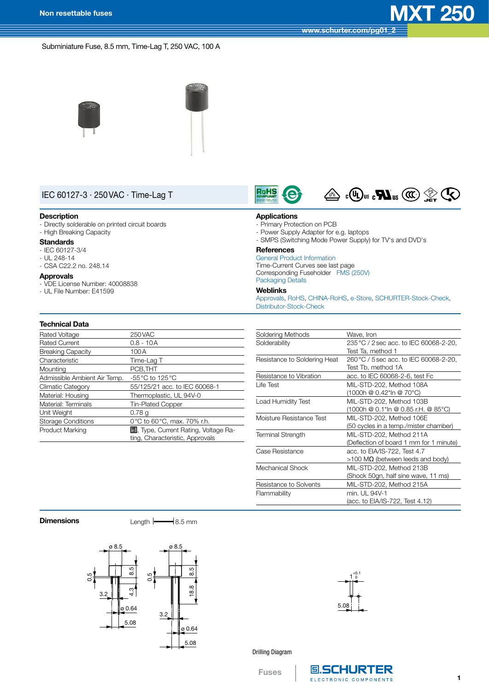**[www.schurter.com/pg01\\_2](http://www.schurter.com/pg01_2)**

Subminiature Fuse, 8.5 mm, Time-Lag T, 250 VAC, 100 A





# IEC 60127-3 · 250VAC · Time-Lag T

#### **Description**

- Directly solderable on printed circuit boards - High Breaking Capacity

#### **Standards**

- $-$  IEC 60127-3/4
- $-$  UL 248-14 - CSA C22.2 no. 248.14

#### **Approvals**

- VDE License Number: 40008838
- UL File Number: E41599

#### **Technical Data**

| Rated Voltage                | 250 VAC                                      |
|------------------------------|----------------------------------------------|
| <b>Rated Current</b>         | $0.8 - 10A$                                  |
| <b>Breaking Capacity</b>     | 100 A                                        |
| Characteristic               | Time-Lag T                                   |
| Mounting                     | PCB, THT                                     |
| Admissible Ambient Air Temp. | -55 °C to 125 °C                             |
| <b>Climatic Category</b>     | 55/125/21 acc. to IEC 60068-1                |
| Material: Housing            | Thermoplastic, UL 94V-0                      |
| Material: Terminals          | <b>Tin-Plated Copper</b>                     |
| Unit Weight                  | 0.78q                                        |
| <b>Storage Conditions</b>    | 0°C to 60°C, max. 70% r.h.                   |
| <b>Product Marking</b>       | <b>国</b> , Type, Current Rating, Voltage Ra- |
|                              | ting, Characteristic, Approvals              |





## **Applications**

- Primary Protection on PCB
- Power Supply Adapter for e.g. laptops
- SMPS (Switching Mode Power Supply) for TV's and DVD's

## **References**

General Product [Information](http://www.schurter.ch/pdf/english/GS_general_product_information.pdf) Time-Current Curves see last page Corresponding Fuseholder FMS [\(250V\)](http://www.schurter.ch/pdf/english/typ_FMS__250V_.pdf) [Packaging](http://www.schurter.ch/pdf/english/GS_packaging_details.pdf) Details

## **Weblinks**

[Approvals](http://www.schurter.com/approvals), [RoHS,](http://www.schurter.com/rohs) [CHINA-RoHS,](http://www.schurter.com/china-rohs) [e-Store](http://www.schurterinc.com/estore/merchant.ihtml?cid=285&step=2), [SCHURTER-Stock-Check,](https://sapportal.schurter.ch:8888/irj/portal/anonymous) [Distributor-Stock-Check](http://www.schurter.ch/catalog/querydist.asp)

| Soldering Methods            | Wave, Iron                              |
|------------------------------|-----------------------------------------|
| Solderability                | 235 °C / 2 sec acc. to IEC 60068-2-20,  |
|                              | Test Ta, method 1                       |
| Resistance to Soldering Heat | 260 °C / 5 sec acc. to IEC 60068-2-20,  |
|                              | Test Tb, method 1A                      |
| Resistance to Vibration      | acc. to IEC 60068-2-6, test Fc          |
| Life Test                    | MIL-STD-202, Method 108A                |
|                              | (1000h @ 0.42*ln @ 70°C)                |
| Load Humidity Test           | MIL-STD-202, Method 103B                |
|                              | (1000h @ 0.1*ln @ 0.85 r.H. @ 85°C)     |
| Moisture Resistance Test     | MIL-STD-202, Method 106E                |
|                              | (50 cycles in a temp./mister chamber)   |
| <b>Terminal Strength</b>     | MIL-STD-202, Method 211A                |
|                              | (Deflection of board 1 mm for 1 minute) |
| Case Resistance              | acc. to EIA/IS-722, Test 4.7            |
|                              | $>100$ MΩ (between leeds and body)      |
| Mechanical Shock             | MIL-STD-202, Method 213B                |
|                              | (Shock 50gn, half sine wave, 11 ms)     |
| Resistance to Solvents       | MIL-STD-202, Method 215A                |
| Flammability                 | min. UL 94V-1                           |
|                              | (acc. to EIA/IS-722, Test 4.12)         |

**Dimensions** Length  $\leftarrow$  8.5 mm





### Drilling Diagram

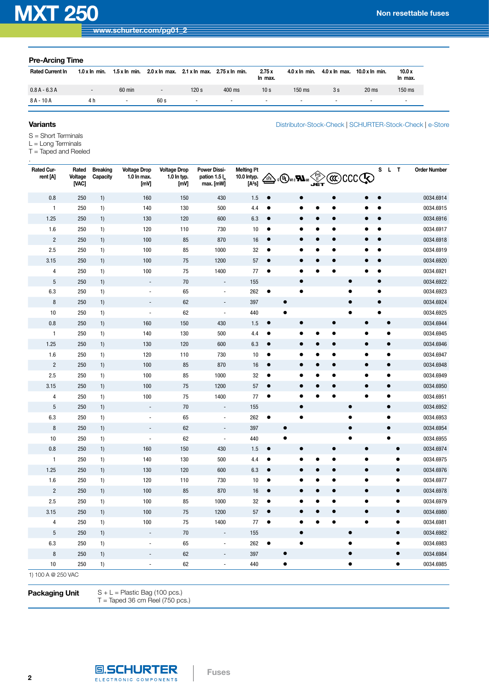[Distributor-Stock-Check](http://www.schurter.ch/catalog/querydist.asp) | [SCHURTER-Stock-Check](https://sapportal.schurter.ch:8888/irj/portal/anonymous) | [e-Store](http://www.schurterinc.com/estore/merchant.ihtml?cid=285&step=2)

| <b>Pre-Arcing Time</b>  |                       |                          |                               |                               |                |                  |                          |                          |                          |                  |  |  |
|-------------------------|-----------------------|--------------------------|-------------------------------|-------------------------------|----------------|------------------|--------------------------|--------------------------|--------------------------|------------------|--|--|
| <b>Rated Current In</b> | $1.0 \times \ln$ min. | $1.5 \times \ln$ min.    | $2.0 \times \ln \text{max}$ . | $2.1 \times \ln \text{max}$ . | 2.75 x In min. | 2.75x<br>In max. | $4.0 \times \ln$ min.    | $4.0 x \ln \text{max}$ . | $10.0 \times \ln$ min.   | 10.0x<br>In max. |  |  |
| $0.8A - 6.3A$           | $\sim$                | 60 min                   | $\overline{\phantom{a}}$      | 120 s                         | 400 ms         | 10 <sub>s</sub>  | 150 ms                   | 3s                       | $20$ ms                  | $150$ ms         |  |  |
| $8A - 10A$              | 4 h                   | $\overline{\phantom{a}}$ | 60 s                          | $\overline{\phantom{a}}$      | $\sim$         | $\sim$           | $\overline{\phantom{a}}$ | $\sim$                   | $\overline{\phantom{0}}$ | $\sim$           |  |  |

## **Variants**

.

S = Short Terminals

- $L = Long$  Terminals
- T = Taped and Reeled

| Rated Cur-<br>rent [A] | Rated<br>Voltage<br>[VAC] | <b>Breaking</b><br>Capacity | <b>Voltage Drop</b><br>1.0 In max.<br>[mV] | <b>Voltage Drop</b><br>1.0 In typ.<br>[mV] | <b>Power Dissi-</b><br>pation 1.5 l <sub>r</sub><br>max. [mW] | Melting <sup>2</sup> t<br>10.0 Intyp.<br>[A <sup>2</sup> s] | ₩                      | $\mathbb{Z}^{\leq 1}_{\text{us}}$ and $\mathbb{Z}^{\text{us}}$ |           |           |           | <b>@CCCCO</b>          |           | S L T     |                        | <b>Order Number</b>    |
|------------------------|---------------------------|-----------------------------|--------------------------------------------|--------------------------------------------|---------------------------------------------------------------|-------------------------------------------------------------|------------------------|----------------------------------------------------------------|-----------|-----------|-----------|------------------------|-----------|-----------|------------------------|------------------------|
| 0.8                    | 250                       | 1)                          | 160                                        | 150                                        | 430                                                           | 1.5                                                         | $\bullet$              |                                                                |           |           | Ò         |                        |           |           |                        | 0034.6914              |
| $\mathbf{1}$           | 250                       | 1)                          | 140                                        | 130                                        | 500                                                           | 4.4                                                         | $\bullet$              |                                                                |           |           | $\bullet$ |                        | $\bullet$ |           |                        | 0034.6915              |
| 1.25                   | 250                       | 1)                          | 130                                        | 120                                        | 600                                                           | 6.3                                                         | $\bullet$              |                                                                |           |           |           |                        |           |           |                        | 0034.6916              |
| 1.6                    | 250                       | 1)                          | 120                                        | 110                                        | 730                                                           | 10                                                          | $\bullet$              |                                                                |           |           |           |                        |           |           |                        | 0034.6917              |
| $\overline{c}$         | 250                       | 1)                          | 100                                        | 85                                         | 870                                                           | 16                                                          | $\bullet$              |                                                                |           |           |           |                        |           |           |                        | 0034.6918              |
| 2.5                    | 250                       | 1)                          | 100                                        | 85                                         | 1000                                                          | 32                                                          | $\bullet$              |                                                                |           |           |           |                        |           |           |                        | 0034.6919              |
| 3.15                   | 250                       | 1)                          | 100                                        | 75                                         | 1200                                                          | 57                                                          | $\bullet$              |                                                                |           |           | Ċ         |                        |           |           |                        | 0034.6920              |
| 4                      | 250                       | 1)                          | 100                                        | 75                                         | 1400                                                          | 77                                                          | $\bullet$              |                                                                |           |           |           |                        |           |           |                        | 0034.6921              |
| $\overline{5}$         | 250                       | 1)                          | $\blacksquare$                             | 70                                         | $\overline{\phantom{a}}$                                      | 155                                                         |                        |                                                                | $\bullet$ |           |           | $\bullet$              | $\bullet$ |           |                        | 0034.6922              |
| 6.3                    | 250                       | 1)                          |                                            | 65                                         | $\overline{\phantom{a}}$                                      | 262                                                         | $\bullet$              |                                                                | $\bullet$ |           |           | $\bullet$              | $\bullet$ |           |                        | 0034.6923              |
| $\bf 8$                | 250                       | 1)                          |                                            | 62                                         | $\frac{1}{2}$                                                 | 397                                                         |                        | $\bullet$                                                      |           |           |           |                        | $\bullet$ |           |                        | 0034.6924              |
| 10                     | 250                       | 1)                          | $\overline{a}$                             | 62                                         | $\overline{\phantom{a}}$                                      | 440                                                         |                        | $\bullet$                                                      |           |           |           |                        |           |           |                        | 0034.6925              |
| 0.8                    | 250                       | 1)                          | 160                                        | 150                                        | 430                                                           | 1.5                                                         | $\bullet$              |                                                                | $\bullet$ |           | $\bullet$ | $\bullet$              |           | $\bullet$ |                        | 0034.6944              |
| $\mathbf{1}$           | 250                       | 1)                          | 140                                        | 130                                        | 500                                                           | 4.4                                                         | $\bullet$              |                                                                |           | ٠         | $\bullet$ | $\bullet$              |           | $\bullet$ |                        | 0034.6945              |
| 1.25                   | 250                       | 1)                          | 130                                        | 120                                        | 600                                                           | 6.3                                                         | $\bullet$              |                                                                | $\bullet$ | $\bullet$ | $\bullet$ | $\bullet$              |           | $\bullet$ |                        | 0034.6946              |
| 1.6                    | 250                       | 1)                          | 120                                        | 110                                        | 730                                                           | 10                                                          | $\bullet$              |                                                                | ٠         | $\bullet$ | $\bullet$ | $\bullet$              |           | $\bullet$ |                        | 0034.6947              |
| $\sqrt{2}$             | 250                       | 1)                          | 100                                        | 85                                         | 870                                                           | 16                                                          | $\bullet$              |                                                                | $\bullet$ | $\bullet$ | $\bullet$ | $\bullet$              |           | $\bullet$ |                        | 0034.6948              |
| 2.5                    | 250                       | 1)                          | 100                                        | 85                                         | 1000                                                          | 32                                                          | $\bullet$              |                                                                |           |           | c         | $\bullet$              |           | $\bullet$ |                        | 0034.6949              |
| 3.15                   | 250                       | 1)                          | 100                                        | 75                                         | 1200                                                          | 57                                                          | $\bullet$              |                                                                |           |           |           | $\bullet$              |           | $\bullet$ |                        | 0034.6950              |
| 4                      | 250                       | 1)                          | 100                                        | 75                                         | 1400                                                          | 77                                                          | $\bullet$              |                                                                |           |           |           | $\bullet$              |           | $\bullet$ |                        | 0034.6951              |
| 5                      | 250                       | 1)                          |                                            | 70                                         |                                                               | 155                                                         |                        |                                                                | $\bullet$ |           |           | $\bullet$              |           | $\bullet$ |                        | 0034.6952              |
| 6.3                    | 250                       | 1)                          |                                            | 65                                         | $\overline{\phantom{a}}$                                      | 262                                                         | $\bullet$              |                                                                | $\bullet$ |           |           | $\bullet$              |           | $\bullet$ |                        | 0034.6953              |
| $\bf 8$                | 250                       | 1)                          |                                            | 62                                         | $\overline{a}$                                                | 397                                                         |                        | $\bullet$                                                      |           |           |           | $\bullet$              |           | $\bullet$ |                        | 0034.6954              |
| 10                     | 250                       | 1)                          | ÷,                                         | 62                                         | $\overline{a}$                                                | 440                                                         |                        | $\bullet$                                                      |           |           |           | ٠                      |           | $\bullet$ |                        | 0034.6955              |
| 0.8                    | 250                       | 1)                          | 160                                        | 150                                        | 430                                                           | 1.5                                                         | $\bullet$              |                                                                | $\bullet$ |           | $\bullet$ | $\bullet$              |           |           | $\bullet$              | 0034.6974              |
| $\mathbf{1}$           | 250                       | 1)                          | 140                                        | 130                                        | 500                                                           | 4.4                                                         | $\bullet$              |                                                                |           |           | Ò         | $\bullet$              |           |           | $\bullet$              | 0034.6975              |
| 1.25                   | 250                       | 1)                          | 130                                        | 120                                        | 600                                                           | 6.3                                                         | $\bullet$              |                                                                |           |           | c         | $\bullet$              |           |           | $\bullet$              | 0034.6976              |
| 1.6                    | 250                       | 1)                          | 120                                        | 110                                        | 730                                                           | 10                                                          | ٠                      |                                                                |           |           |           | $\bullet$              |           |           | $\bullet$              | 0034.6977              |
| $\overline{2}$         | 250<br>250                | 1)                          | 100<br>100                                 | 85                                         | 870<br>1000                                                   | $16$<br>32                                                  | $\bullet$<br>$\bullet$ |                                                                |           |           |           | $\bullet$<br>$\bullet$ |           |           | $\bullet$<br>$\bullet$ | 0034.6978<br>0034.6979 |
| 2.5                    | 250                       | 1)                          |                                            | 85                                         |                                                               | 57                                                          | $\bullet$              |                                                                | $\bullet$ |           | $\bullet$ | $\bullet$              |           |           | $\bullet$              |                        |
| 3.15                   | 250                       | 1)                          | 100<br>100                                 | 75<br>75                                   | 1200<br>1400                                                  | 77                                                          | $\bullet$              |                                                                | $\bullet$ |           |           | $\bullet$              |           |           | $\bullet$              | 0034.6980<br>0034.6981 |
| 4<br>$5\phantom{.0}$   | 250                       | 1)<br>1)                    | $\blacksquare$                             | 70                                         | $\frac{1}{2}$                                                 | 155                                                         |                        |                                                                | $\bullet$ |           |           | $\bullet$              |           |           | $\bullet$              | 0034.6982              |
| 6.3                    | 250                       |                             |                                            | 65                                         | $\overline{a}$                                                | 262                                                         | $\bullet$              |                                                                | $\bullet$ |           |           | $\bullet$              |           |           | $\bullet$              | 0034.6983              |
| 8                      | 250                       | 1)<br>1)                    | $\blacksquare$                             | 62                                         | $\overline{\phantom{a}}$                                      | 397                                                         |                        | $\bullet$                                                      |           |           |           | $\bullet$              |           |           | $\bullet$              | 0034.6984              |
| 10                     | 250                       | 1)                          | $\blacksquare$                             | 62                                         | $\blacksquare$                                                | 440                                                         |                        | $\bullet$                                                      |           |           |           | $\bullet$              |           |           | $\bullet$              | 0034.6985              |
| 1) 100 A @ 250 VAC     |                           |                             |                                            |                                            |                                                               |                                                             |                        |                                                                |           |           |           |                        |           |           |                        |                        |
|                        |                           |                             |                                            |                                            |                                                               |                                                             |                        |                                                                |           |           |           |                        |           |           |                        |                        |

**Fuses**

**Packaging Unit**  $S + L =$  Plastic Bag (100 pcs.) T = Taped 36 cm Reel (750 pcs.)